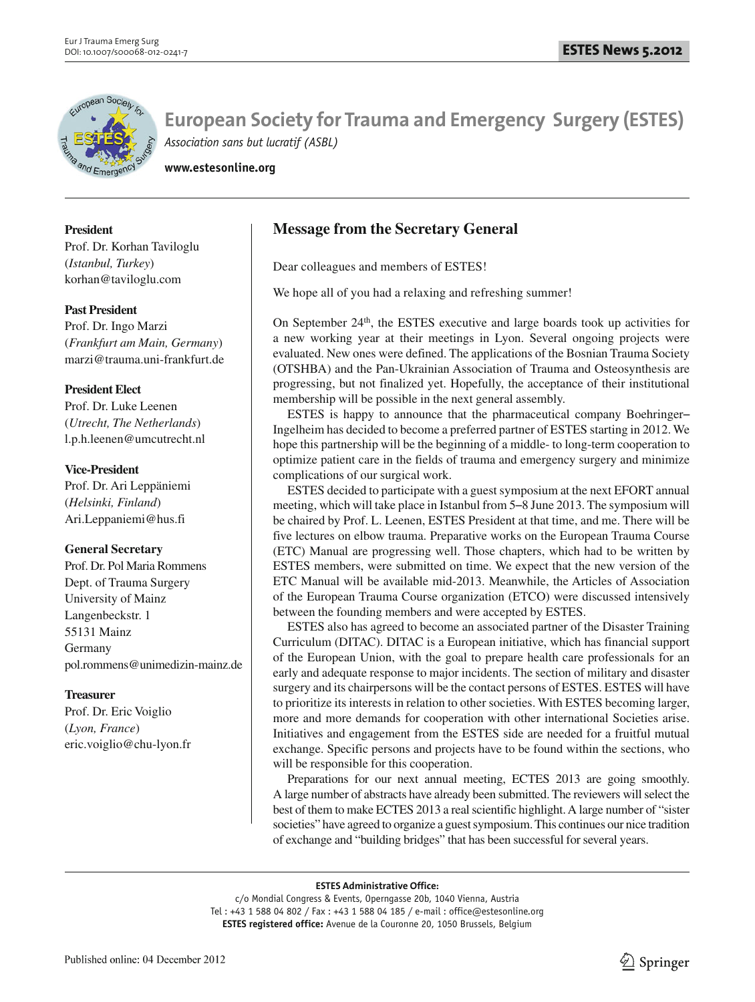

**www.estesonline.org**

## **President**

Prof. Dr. Korhan Taviloglu (*Istanbul, Turkey*) korhan@taviloglu.com

## **Past President**

Prof. Dr. Ingo Marzi (*Frankfurt am Main, Germany*) marzi@trauma.uni-frankfurt.de

## **President Elect**

Prof. Dr. Luke Leenen (*Utrecht, The Netherlands*) l.p.h.leenen@umcutrecht.nl

## **Vice-President**

Prof. Dr. Ari Leppäniemi (*Helsinki, Finland*) Ari.Leppaniemi@hus.fi

## **General Secretary**

Prof. Dr. Pol Maria Rommens Dept. of Trauma Surgery University of Mainz Langenbeckstr. 1 55131 Mainz Germany pol.rommens@unimedizin-mainz.de

## **Treasurer**

Prof. Dr. Eric Voiglio (*Lyon, France*) eric.voiglio@chu-lyon.fr

# **Message from the Secretary General**

Dear colleagues and members of ESTES!

We hope all of you had a relaxing and refreshing summer!

On September 24<sup>th</sup>, the ESTES executive and large boards took up activities for a new working year at their meetings in Lyon. Several ongoing projects were evaluated. New ones were defined. The applications of the Bosnian Trauma Society (OTSHBA) and the Pan-Ukrainian Association of Trauma and Osteosynthesis are progressing, but not finalized yet. Hopefully, the acceptance of their institutional membership will be possible in the next general assembly.

ESTES is happy to announce that the pharmaceutical company Boehringer-Ingelheim has decided to become a preferred partner of ESTES starting in 2012. We hope this partnership will be the beginning of a middle- to long-term cooperation to optimize patient care in the fields of trauma and emergency surgery and minimize complications of our surgical work.

ESTES decided to participate with a guest symposium at the next EFORT annual meeting, which will take place in Istanbul from 5–8 June 2013. The symposium will be chaired by Prof. L. Leenen, ESTES President at that time, and me. There will be five lectures on elbow trauma. Preparative works on the European Trauma Course (ETC) Manual are progressing well. Those chapters, which had to be written by ESTES members, were submitted on time. We expect that the new version of the ETC Manual will be available mid-2013. Meanwhile, the Articles of Association of the European Trauma Course organization (ETCO) were discussed intensively between the founding members and were accepted by ESTES.

ESTES also has agreed to become an associated partner of the Disaster Training Curriculum (DITAC). DITAC is a European initiative, which has financial support of the European Union, with the goal to prepare health care professionals for an early and adequate response to major incidents. The section of military and disaster surgery and its chairpersons will be the contact persons of ESTES. ESTES will have to prioritize its interests in relation to other societies. With ESTES becoming larger, more and more demands for cooperation with other international Societies arise. Initiatives and engagement from the ESTES side are needed for a fruitful mutual exchange. Specific persons and projects have to be found within the sections, who will be responsible for this cooperation.

Preparations for our next annual meeting, ECTES 2013 are going smoothly. A large number of abstracts have already been submitted. The reviewers will select the best of them to make ECTES 2013 a real scientific highlight. A large number of "sister societies" have agreed to organize a guest symposium. This continues our nice tradition of exchange and "building bridges" that has been successful for several years.

**ESTES Administrative Office:**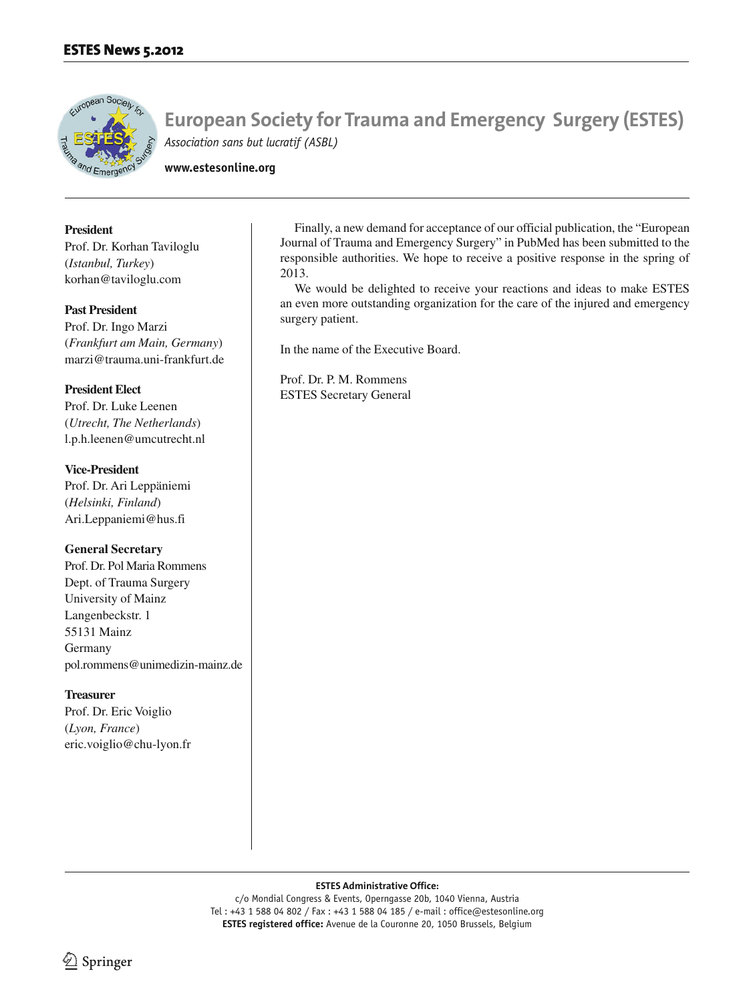

**www.estesonline.org**

## **President**

Prof. Dr. Korhan Taviloglu (*Istanbul, Turkey*) korhan@taviloglu.com

## **Past President**

Prof. Dr. Ingo Marzi (*Frankfurt am Main, Germany*) marzi@trauma.uni-frankfurt.de

## **President Elect**

Prof. Dr. Luke Leenen (*Utrecht, The Netherlands*) l.p.h.leenen@umcutrecht.nl

## **Vice-President**

Prof. Dr. Ari Leppäniemi (*Helsinki, Finland*) Ari.Leppaniemi@hus.fi

## **General Secretary**

Prof. Dr. Pol Maria Rommens Dept. of Trauma Surgery University of Mainz Langenbeckstr. 1 55131 Mainz Germany pol.rommens@unimedizin-mainz.de

## **Treasurer**

Prof. Dr. Eric Voiglio (*Lyon, France*) eric.voiglio@chu-lyon.fr

Finally, a new demand for acceptance of our official publication, the "European Journal of Trauma and Emergency Surgery" in PubMed has been submitted to the responsible authorities. We hope to receive a positive response in the spring of 2013.

We would be delighted to receive your reactions and ideas to make ESTES an even more outstanding organization for the care of the injured and emergency surgery patient.

In the name of the Executive Board.

Prof. Dr. P. M. Rommens ESTES Secretary General

#### **ESTES Administrative Office:**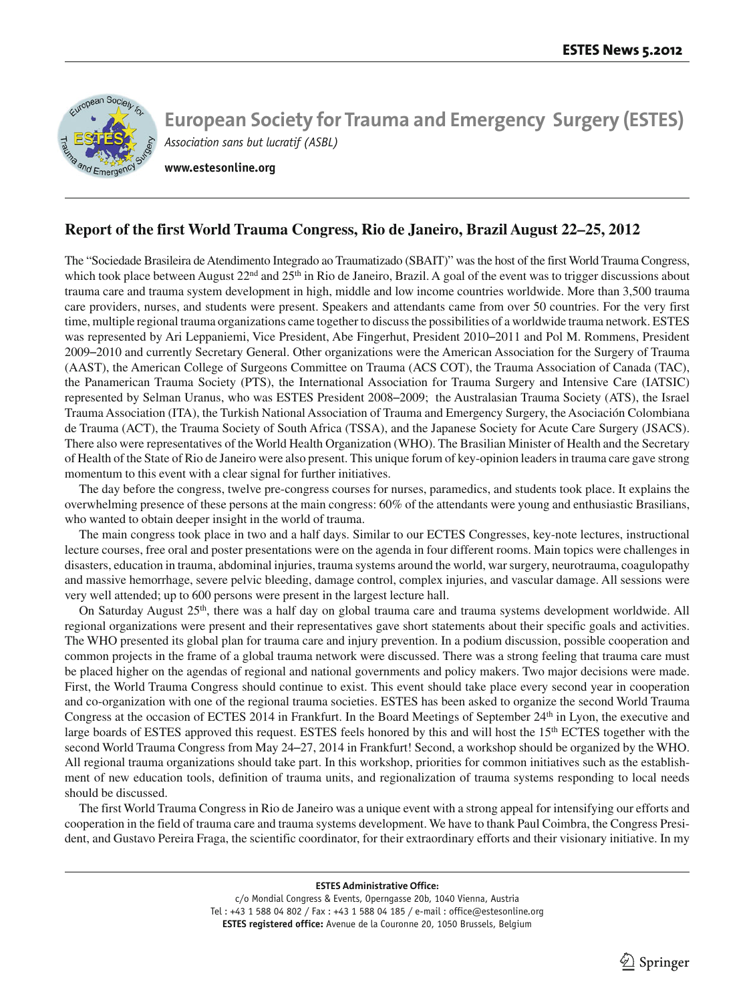

**www.estesonline.org**

## **Report of the first World Trauma Congress, Rio de Janeiro, Brazil August 22–25, 2012**

The "Sociedade Brasileira de Atendimento Integrado ao Traumatizado (SBAIT)" was the host of the first World Trauma Congress, which took place between August  $22<sup>nd</sup>$  and  $25<sup>th</sup>$  in Rio de Janeiro, Brazil. A goal of the event was to trigger discussions about trauma care and trauma system development in high, middle and low income countries worldwide. More than 3,500 trauma care providers, nurses, and students were present. Speakers and attendants came from over 50 countries. For the very first time, multiple regional trauma organizations came together to discuss the possibilities of a worldwide trauma network. ESTES was represented by Ari Leppaniemi, Vice President, Abe Fingerhut, President 2010–2011 and Pol M. Rommens, President 2009–2010 and currently Secretary General. Other organizations were the American Association for the Surgery of Trauma (AAST), the American College of Surgeons Committee on Trauma (ACS COT), the Trauma Association of Canada (TAC), the Panamerican Trauma Society (PTS), the International Association for Trauma Surgery and Intensive Care (IATSIC) represented by Selman Uranus, who was ESTES President 2008–2009; the Australasian Trauma Society (ATS), the Israel Trauma Association (ITA), the Turkish National Association of Trauma and Emergency Surgery, the Asociación Colombiana de Trauma (ACT), the Trauma Society of South Africa (TSSA), and the Japanese Society for Acute Care Surgery (JSACS). There also were representatives of the World Health Organization (WHO). The Brasilian Minister of Health and the Secretary of Health of the State of Rio de Janeiro were also present. This unique forum of key-opinion leaders in trauma care gave strong momentum to this event with a clear signal for further initiatives.

The day before the congress, twelve pre-congress courses for nurses, paramedics, and students took place. It explains the overwhelming presence of these persons at the main congress: 60% of the attendants were young and enthusiastic Brasilians, who wanted to obtain deeper insight in the world of trauma.

The main congress took place in two and a half days. Similar to our ECTES Congresses, key-note lectures, instructional lecture courses, free oral and poster presentations were on the agenda in four different rooms. Main topics were challenges in disasters, education in trauma, abdominal injuries, trauma systems around the world, war surgery, neurotrauma, coagulopathy and massive hemorrhage, severe pelvic bleeding, damage control, complex injuries, and vascular damage. All sessions were very well attended; up to 600 persons were present in the largest lecture hall.

On Saturday August 25<sup>th</sup>, there was a half day on global trauma care and trauma systems development worldwide. All regional organizations were present and their representatives gave short statements about their specific goals and activities. The WHO presented its global plan for trauma care and injury prevention. In a podium discussion, possible cooperation and common projects in the frame of a global trauma network were discussed. There was a strong feeling that trauma care must be placed higher on the agendas of regional and national governments and policy makers. Two major decisions were made. First, the World Trauma Congress should continue to exist. This event should take place every second year in cooperation and co-organization with one of the regional trauma societies. ESTES has been asked to organize the second World Trauma Congress at the occasion of ECTES 2014 in Frankfurt. In the Board Meetings of September 24<sup>th</sup> in Lyon, the executive and large boards of ESTES approved this request. ESTES feels honored by this and will host the 15<sup>th</sup> ECTES together with the second World Trauma Congress from May 24–27, 2014 in Frankfurt! Second, a workshop should be organized by the WHO. All regional trauma organizations should take part. In this workshop, priorities for common initiatives such as the establishment of new education tools, definition of trauma units, and regionalization of trauma systems responding to local needs should be discussed.

The first World Trauma Congress in Rio de Janeiro was a unique event with a strong appeal for intensifying our efforts and cooperation in the field of trauma care and trauma systems development. We have to thank Paul Coimbra, the Congress President, and Gustavo Pereira Fraga, the scientific coordinator, for their extraordinary efforts and their visionary initiative. In my

**ESTES Administrative Office:**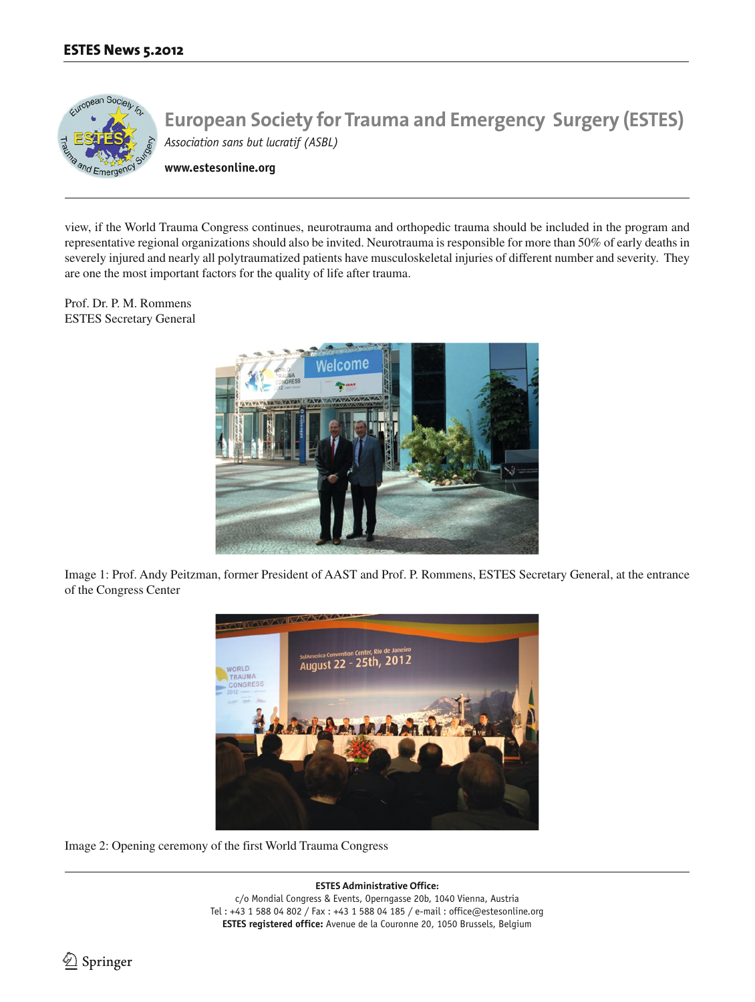

**www.estesonline.org**

view, if the World Trauma Congress continues, neurotrauma and orthopedic trauma should be included in the program and representative regional organizations should also be invited. Neurotrauma is responsible for more than 50% of early deaths in severely injured and nearly all polytraumatized patients have musculoskeletal injuries of different number and severity. They are one the most important factors for the quality of life after trauma.

Prof. Dr. P. M. Rommens ESTES Secretary General



Image 1: Prof. Andy Peitzman, former President of AAST and Prof. P. Rommens, ESTES Secretary General, at the entrance of the Congress Center



Image 2: Opening ceremony of the first World Trauma Congress

 $\textcircled{2}$  Springer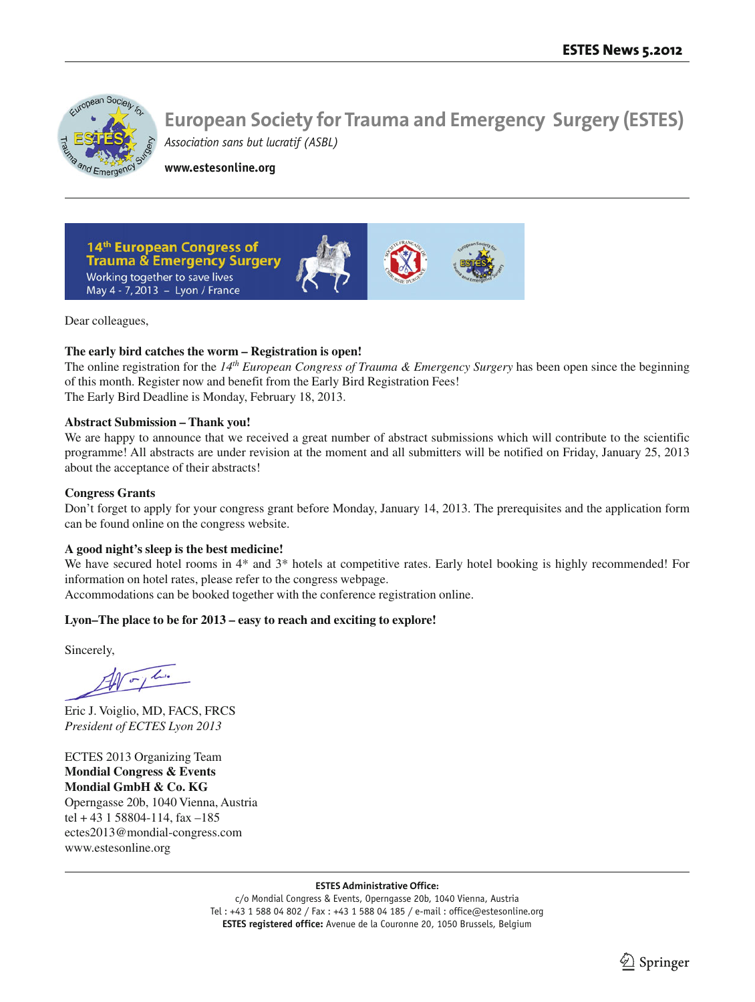

**www.estesonline.org**



Dear colleagues,

## **The early bird catches the worm – Registration is open!**

The online registration for the *14th European Congress of Trauma & Emergency Surgery* has been open since the beginning of this month. Register now and benefit from the Early Bird Registration Fees! The Early Bird Deadline is Monday, February 18, 2013.

## **Abstract Submission – Thank you!**

We are happy to announce that we received a great number of abstract submissions which will contribute to the scientific programme! All abstracts are under revision at the moment and all submitters will be notified on Friday, January 25, 2013 about the acceptance of their abstracts!

## **Congress Grants**

Don't forget to apply for your congress grant before Monday, January 14, 2013. The prerequisites and the application form can be found online on the congress website.

## **A good night's sleep is the best medicine!**

We have secured hotel rooms in  $4*$  and  $3*$  hotels at competitive rates. Early hotel booking is highly recommended! For information on hotel rates, please refer to the congress webpage.

Accommodations can be booked together with the conference registration online.

## **Lyon–The place to be for 2013 – easy to reach and exciting to explore!**

Sincerely,

 $40 - 14$ 

Eric J. Voiglio, MD, FACS, FRCS *President of ECTES Lyon 2013*

ECTES 2013 Organizing Team **Mondial Congress & Events Mondial GmbH & Co. KG** Operngasse 20b, 1040 Vienna, Austria tel + 43 1 58804-114, fax –185 ectes2013@mondial-congress.com www.estesonline.org

#### **ESTES Administrative Office:**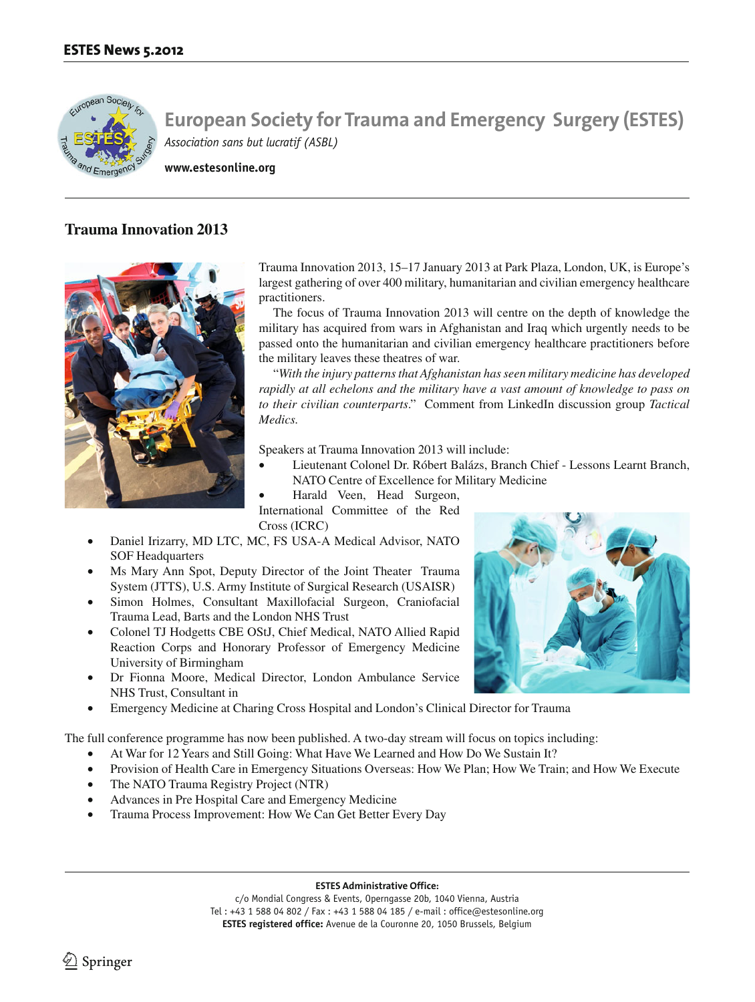

**www.estesonline.org**

# **Trauma Innovation 2013**



Trauma Innovation 2013, 15–17 January 2013 at Park Plaza, London, UK, is Europe's largest gathering of over 400 military, humanitarian and civilian emergency healthcare practitioners.

The focus of Trauma Innovation 2013 will centre on the depth of knowledge the military has acquired from wars in Afghanistan and Iraq which urgently needs to be passed onto the humanitarian and civilian emergency healthcare practitioners before the military leaves these theatres of war.

"*With the injury patterns that Afghanistan has seen military medicine has developed rapidly at all echelons and the military have a vast amount of knowledge to pass on to their civilian counterparts*." Comment from LinkedIn discussion group *Tactical Medics.*

Speakers at Trauma Innovation 2013 will include:

- Lieutenant Colonel Dr. Róbert Balázs, Branch Chief Lessons Learnt Branch, NATO Centre of Excellence for Military Medicine
- Harald Veen, Head Surgeon, International Committee of the Red Cross (ICRC)
- Daniel Irizarry, MD LTC, MC, FS USA-A Medical Advisor, NATO SOF Headquarters
- Ms Mary Ann Spot, Deputy Director of the Joint Theater Trauma System (JTTS), U.S. Army Institute of Surgical Research (USAISR)
- Simon Holmes, Consultant Maxillofacial Surgeon, Craniofacial Trauma Lead, Barts and the London NHS Trust
- Colonel TJ Hodgetts CBE OStJ, Chief Medical, NATO Allied Rapid Reaction Corps and Honorary Professor of Emergency Medicine University of Birmingham
- Dr Fionna Moore, Medical Director, London Ambulance Service NHS Trust, Consultant in
- Emergency Medicine at Charing Cross Hospital and London's Clinical Director for Trauma

The full conference programme has now been published. A two-day stream will focus on topics including:

- At War for 12 Years and Still Going: What Have We Learned and How Do We Sustain It?
- Provision of Health Care in Emergency Situations Overseas: How We Plan; How We Train; and How We Execute
- The NATO Trauma Registry Project (NTR)
- Advances in Pre Hospital Care and Emergency Medicine
- Trauma Process Improvement: How We Can Get Better Every Day

**ESTES Administrative Office:**

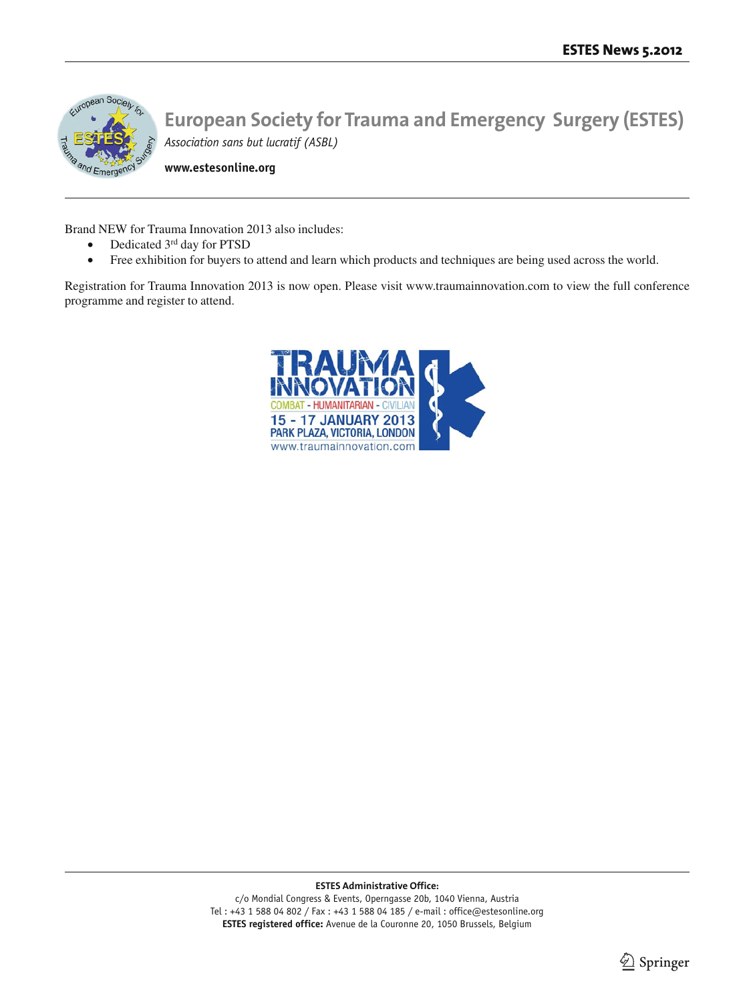

**www.estesonline.org**

Brand NEW for Trauma Innovation 2013 also includes:

- Dedicated 3<sup>rd</sup> day for PTSD
- Free exhibition for buyers to attend and learn which products and techniques are being used across the world.

Registration for Trauma Innovation 2013 is now open. Please visit www.traumainnovation.com to view the full conference programme and register to attend.



**ESTES Administrative Office:**